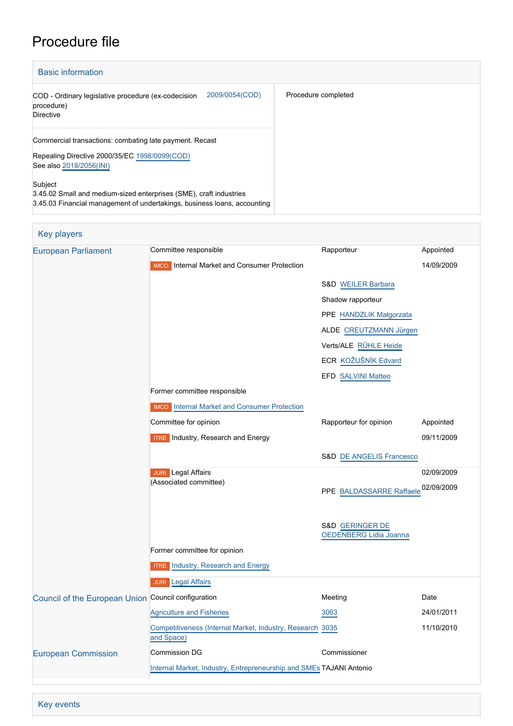# Procedure file

| <b>Basic information</b>                                                                                                                                  |                     |
|-----------------------------------------------------------------------------------------------------------------------------------------------------------|---------------------|
| 2009/0054(COD)<br>COD - Ordinary legislative procedure (ex-codecision<br>procedure)<br><b>Directive</b>                                                   | Procedure completed |
| Commercial transactions: combating late payment. Recast<br>Repealing Directive 2000/35/EC 1998/0099(COD)<br>See also 2018/2056(INI)                       |                     |
| Subject<br>3.45.02 Small and medium-sized enterprises (SME), craft industries<br>3.45.03 Financial management of undertakings, business loans, accounting |                     |

# Key players

| <b>European Parliament</b>                          | Committee responsible                                                   | Rapporteur                          | Appointed  |
|-----------------------------------------------------|-------------------------------------------------------------------------|-------------------------------------|------------|
|                                                     | <b>IMCO</b> Internal Market and Consumer Protection                     |                                     | 14/09/2009 |
|                                                     |                                                                         | S&D WEILER Barbara                  |            |
|                                                     |                                                                         | Shadow rapporteur                   |            |
|                                                     |                                                                         | PPE HANDZLIK Małgorzata             |            |
|                                                     |                                                                         | ALDE CREUTZMANN Jürgen              |            |
|                                                     |                                                                         | Verts/ALE RÜHLE Heide               |            |
|                                                     |                                                                         | ECR KOŽUŠNÍK Edvard                 |            |
|                                                     |                                                                         | EFD SALVINI Matteo                  |            |
|                                                     | Former committee responsible                                            |                                     |            |
|                                                     | <b>IMCO</b> Internal Market and Consumer Protection                     |                                     |            |
|                                                     | Committee for opinion                                                   | Rapporteur for opinion              | Appointed  |
|                                                     | <b>ITRE</b> Industry, Research and Energy                               |                                     | 09/11/2009 |
|                                                     |                                                                         | <b>S&amp;D DE ANGELIS Francesco</b> |            |
|                                                     | <b>JURI</b> Legal Affairs                                               |                                     | 02/09/2009 |
|                                                     | (Associated committee)                                                  | PPE BALDASSARRE Raffaele 02/09/2009 |            |
|                                                     |                                                                         |                                     |            |
|                                                     |                                                                         | S&D GERINGER DE                     |            |
|                                                     |                                                                         | <b>OEDENBERG Lidia Joanna</b>       |            |
|                                                     | Former committee for opinion                                            |                                     |            |
|                                                     | <b>ITRE</b> Industry, Research and Energy                               |                                     |            |
|                                                     | <b>JURI</b> Legal Affairs                                               |                                     |            |
| Council of the European Union Council configuration |                                                                         | Meeting                             | Date       |
|                                                     | <b>Agriculture and Fisheries</b>                                        | 3063                                | 24/01/2011 |
|                                                     | Competitiveness (Internal Market, Industry, Research 3035<br>and Space) |                                     | 11/10/2010 |
| <b>European Commission</b>                          | <b>Commission DG</b>                                                    | Commissioner                        |            |
|                                                     | Internal Market, Industry, Entrepreneurship and SMEs TAJANI Antonio     |                                     |            |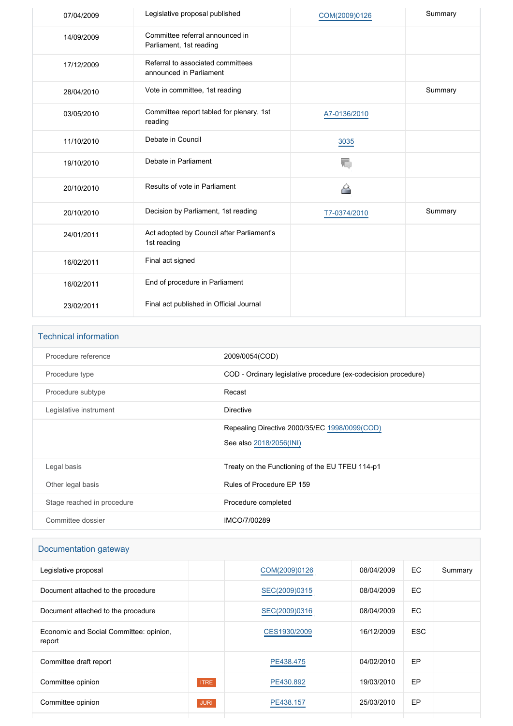| 07/04/2009 | Legislative proposal published                               | COM(2009)0126 | Summary |
|------------|--------------------------------------------------------------|---------------|---------|
| 14/09/2009 | Committee referral announced in<br>Parliament, 1st reading   |               |         |
| 17/12/2009 | Referral to associated committees<br>announced in Parliament |               |         |
| 28/04/2010 | Vote in committee, 1st reading                               |               | Summary |
| 03/05/2010 | Committee report tabled for plenary, 1st<br>reading          | A7-0136/2010  |         |
| 11/10/2010 | Debate in Council                                            | 3035          |         |
| 19/10/2010 | Debate in Parliament                                         |               |         |
| 20/10/2010 | Results of vote in Parliament                                | ≃             |         |
| 20/10/2010 | Decision by Parliament, 1st reading                          | T7-0374/2010  | Summary |
| 24/01/2011 | Act adopted by Council after Parliament's<br>1st reading     |               |         |
| 16/02/2011 | Final act signed                                             |               |         |
| 16/02/2011 | End of procedure in Parliament                               |               |         |
| 23/02/2011 | Final act published in Official Journal                      |               |         |

| <b>Technical information</b> |                                                                          |
|------------------------------|--------------------------------------------------------------------------|
| Procedure reference          | 2009/0054(COD)                                                           |
| Procedure type               | COD - Ordinary legislative procedure (ex-codecision procedure)           |
| Procedure subtype            | Recast                                                                   |
| Legislative instrument       | Directive                                                                |
|                              | Repealing Directive 2000/35/EC 1998/0099(COD)<br>See also 2018/2056(INI) |
| Legal basis                  | Treaty on the Functioning of the EU TFEU 114-p1                          |
| Other legal basis            | Rules of Procedure EP 159                                                |
| Stage reached in procedure   | Procedure completed                                                      |
| Committee dossier            | IMCO/7/00289                                                             |

# Documentation gateway

| Legislative proposal                              |             | COM(2009)0126 | 08/04/2009 | EC.        | Summary |
|---------------------------------------------------|-------------|---------------|------------|------------|---------|
| Document attached to the procedure                |             | SEC(2009)0315 | 08/04/2009 | EC.        |         |
| Document attached to the procedure                |             | SEC(2009)0316 | 08/04/2009 | EC.        |         |
| Economic and Social Committee: opinion,<br>report |             | CES1930/2009  | 16/12/2009 | <b>ESC</b> |         |
| Committee draft report                            |             | PE438.475     | 04/02/2010 | EP.        |         |
| Committee opinion                                 | <b>ITRE</b> | PE430.892     | 19/03/2010 | EP.        |         |
| Committee opinion                                 | <b>JURI</b> | PE438.157     | 25/03/2010 | EP         |         |
|                                                   |             |               |            |            |         |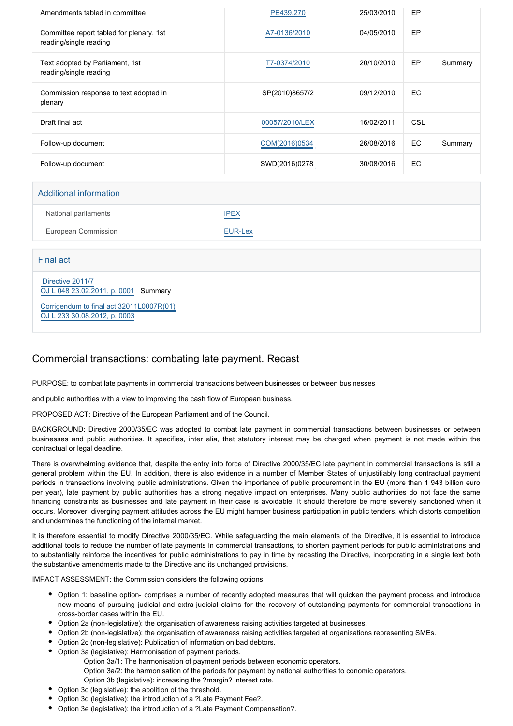| Amendments tabled in committee                                     | PE439.270      | 25/03/2010 | <b>EP</b> |         |
|--------------------------------------------------------------------|----------------|------------|-----------|---------|
| Committee report tabled for plenary, 1st<br>reading/single reading | A7-0136/2010   | 04/05/2010 | EP.       |         |
| Text adopted by Parliament, 1st<br>reading/single reading          | T7-0374/2010   | 20/10/2010 | EP        | Summary |
| Commission response to text adopted in<br>plenary                  | SP(2010)8657/2 | 09/12/2010 | <b>EC</b> |         |
| Draft final act                                                    | 00057/2010/LEX | 16/02/2011 | CSL       |         |
| Follow-up document                                                 | COM(2016)0534  | 26/08/2016 | <b>EC</b> | Summary |
| Follow-up document                                                 | SWD(2016)0278  | 30/08/2016 | EC.       |         |

#### Additional information

| National parliaments | <b>IPEX</b><br><u> La Carlo de Carlo de la Carlo de la Carlo de la Carlo de la Carlo de la Carlo de la Carlo de la Carlo de la C</u> |
|----------------------|--------------------------------------------------------------------------------------------------------------------------------------|
| European Commission  | EUR-Lex                                                                                                                              |

Final act

 [Directive 2011/7](https://eur-lex.europa.eu/smartapi/cgi/sga_doc?smartapi!celexplus!prod!CELEXnumdoc&lg=EN&numdoc=32011L0007) [OJ L 048 23.02.2011, p. 0001](https://eur-lex.europa.eu/legal-content/EN/TXT/?uri=OJ:L:2011:048:TOC) Summary

[Corrigendum to final act 32011L0007R\(01\)](https://eur-lex.europa.eu/smartapi/cgi/sga_doc?smartapi!celexapi!prod!CELEXnumdoc&lg=EN&model=guicheti&numdoc=32011L0007R(01)) [OJ L 233 30.08.2012, p. 0003](https://eur-lex.europa.eu/legal-content/EN/TXT/?uri=OJ:L:2012:233:TOC)

## Commercial transactions: combating late payment. Recast

PURPOSE: to combat late payments in commercial transactions between businesses or between businesses

and public authorities with a view to improving the cash flow of European business.

PROPOSED ACT: Directive of the European Parliament and of the Council.

BACKGROUND: Directive 2000/35/EC was adopted to combat late payment in commercial transactions between businesses or between businesses and public authorities. It specifies, inter alia, that statutory interest may be charged when payment is not made within the contractual or legal deadline.

There is overwhelming evidence that, despite the entry into force of Directive 2000/35/EC late payment in commercial transactions is still a general problem within the EU. In addition, there is also evidence in a number of Member States of unjustifiably long contractual payment periods in transactions involving public administrations. Given the importance of public procurement in the EU (more than 1 943 billion euro per year), late payment by public authorities has a strong negative impact on enterprises. Many public authorities do not face the same financing constraints as businesses and late payment in their case is avoidable. It should therefore be more severely sanctioned when it occurs. Moreover, diverging payment attitudes across the EU might hamper business participation in public tenders, which distorts competition and undermines the functioning of the internal market.

It is therefore essential to modify Directive 2000/35/EC. While safeguarding the main elements of the Directive, it is essential to introduce additional tools to reduce the number of late payments in commercial transactions, to shorten payment periods for public administrations and to substantially reinforce the incentives for public administrations to pay in time by recasting the Directive, incorporating in a single text both the substantive amendments made to the Directive and its unchanged provisions.

IMPACT ASSESSMENT: the Commission considers the following options:

- Option 1: baseline option- comprises a number of recently adopted measures that will quicken the payment process and introduce new means of pursuing judicial and extra-judicial claims for the recovery of outstanding payments for commercial transactions in cross-border cases within the EU.
- Option 2a (non-legislative): the organisation of awareness raising activities targeted at businesses.
- Option 2b (non-legislative): the organisation of awareness raising activities targeted at organisations representing SMEs.
- Option 2c (non-legislative): Publication of information on bad debtors.
- Option 3a (legislative): Harmonisation of payment periods.
	- Option 3a/1: The harmonisation of payment periods between economic operators.

Option 3a/2: the harmonisation of the periods for payment by national authorities to conomic operators.

- Option 3b (legislative): increasing the ?margin? interest rate.
- Option 3c (legislative): the abolition of the threshold.
- Option 3d (legislative): the introduction of a ?Late Payment Fee?.
- Option 3e (legislative): the introduction of a ?Late Payment Compensation?.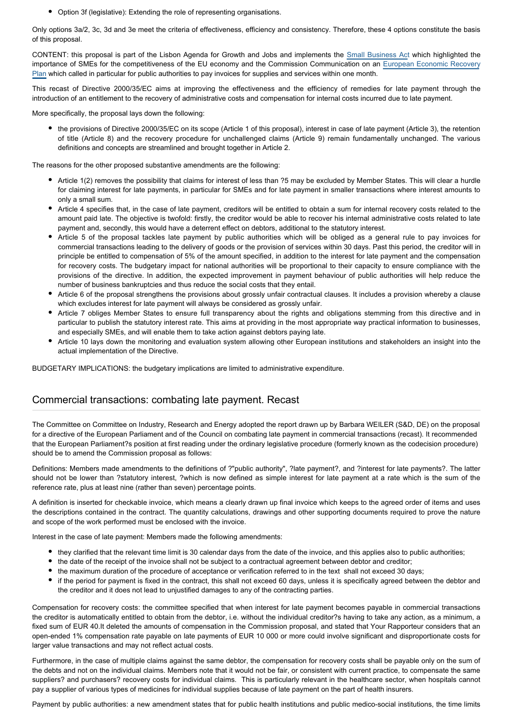Option 3f (legislative): Extending the role of representing organisations.

Only options 3a/2, 3c, 3d and 3e meet the criteria of effectiveness, efficiency and consistency. Therefore, these 4 options constitute the basis of this proposal.

CONTENT: this proposal is part of the Lisbon Agenda for Growth and Jobs and implements the [Small Business Ac](http://www.europarl.europa.eu/oeil/FindByProcnum.do?lang=en&procnum=INI/2008/2237)t which highlighted the importance of SMEs for the competitiveness of the EU economy and the Commission Communication on an [European Economic Recovery](http://www.europarl.europa.eu/oeil/FindByProcnum.do?lang=en&procnum=INI/2008/2334) [Plan](http://www.europarl.europa.eu/oeil/FindByProcnum.do?lang=en&procnum=INI/2008/2334) which called in particular for public authorities to pay invoices for supplies and services within one month.

This recast of Directive 2000/35/EC aims at improving the effectiveness and the efficiency of remedies for late payment through the introduction of an entitlement to the recovery of administrative costs and compensation for internal costs incurred due to late payment.

More specifically, the proposal lays down the following:

the provisions of Directive 2000/35/EC on its scope (Article 1 of this proposal), interest in case of late payment (Article 3), the retention of title (Article 8) and the recovery procedure for unchallenged claims (Article 9) remain fundamentally unchanged. The various definitions and concepts are streamlined and brought together in Article 2.

The reasons for the other proposed substantive amendments are the following:

- Article 1(2) removes the possibility that claims for interest of less than ?5 may be excluded by Member States. This will clear a hurdle for claiming interest for late payments, in particular for SMEs and for late payment in smaller transactions where interest amounts to only a small sum.
- Article 4 specifies that, in the case of late payment, creditors will be entitled to obtain a sum for internal recovery costs related to the amount paid late. The objective is twofold: firstly, the creditor would be able to recover his internal administrative costs related to late payment and, secondly, this would have a deterrent effect on debtors, additional to the statutory interest.
- Article 5 of the proposal tackles late payment by public authorities which will be obliged as a general rule to pay invoices for commercial transactions leading to the delivery of goods or the provision of services within 30 days. Past this period, the creditor will in principle be entitled to compensation of 5% of the amount specified, in addition to the interest for late payment and the compensation for recovery costs. The budgetary impact for national authorities will be proportional to their capacity to ensure compliance with the provisions of the directive. In addition, the expected improvement in payment behaviour of public authorities will help reduce the number of business bankruptcies and thus reduce the social costs that they entail.
- Article 6 of the proposal strengthens the provisions about grossly unfair contractual clauses. It includes a provision whereby a clause which excludes interest for late payment will always be considered as grossly unfair.
- Article 7 obliges Member States to ensure full transparency about the rights and obligations stemming from this directive and in particular to publish the statutory interest rate. This aims at providing in the most appropriate way practical information to businesses, and especially SMEs, and will enable them to take action against debtors paying late.
- Article 10 lays down the monitoring and evaluation system allowing other European institutions and stakeholders an insight into the actual implementation of the Directive.

BUDGETARY IMPLICATIONS: the budgetary implications are limited to administrative expenditure.

#### Commercial transactions: combating late payment. Recast

The Committee on Committee on Industry, Research and Energy adopted the report drawn up by Barbara WEILER (S&D, DE) on the proposal for a directive of the European Parliament and of the Council on combating late payment in commercial transactions (recast). It recommended that the European Parliament?s position at first reading under the ordinary legislative procedure (formerly known as the codecision procedure) should be to amend the Commission proposal as follows:

Definitions: Members made amendments to the definitions of ?"public authority", ?late payment?, and ?interest for late payments?. The latter should not be lower than ?statutory interest, ?which is now defined as simple interest for late payment at a rate which is the sum of the reference rate, plus at least nine (rather than seven) percentage points.

A definition is inserted for checkable invoice, which means a clearly drawn up final invoice which keeps to the agreed order of items and uses the descriptions contained in the contract. The quantity calculations, drawings and other supporting documents required to prove the nature and scope of the work performed must be enclosed with the invoice.

Interest in the case of late payment: Members made the following amendments:

- they clarified that the relevant time limit is 30 calendar days from the date of the invoice, and this applies also to public authorities;
- the date of the receipt of the invoice shall not be subject to a contractual agreement between debtor and creditor;
- the maximum duration of the procedure of acceptance or verification referred to in the text shall not exceed 30 days;
- if the period for payment is fixed in the contract, this shall not exceed 60 days, unless it is specifically agreed between the debtor and the creditor and it does not lead to unjustified damages to any of the contracting parties.

Compensation for recovery costs: the committee specified that when interest for late payment becomes payable in commercial transactions the creditor is automatically entitled to obtain from the debtor, i.e. without the individual creditor?s having to take any action, as a minimum, a fixed sum of EUR 40.It deleted the amounts of compensation in the Commission proposal, and stated that Your Rapporteur considers that an open-ended 1% compensation rate payable on late payments of EUR 10 000 or more could involve significant and disproportionate costs for larger value transactions and may not reflect actual costs.

Furthermore, in the case of multiple claims against the same debtor, the compensation for recovery costs shall be payable only on the sum of the debts and not on the individual claims. Members note that it would not be fair, or consistent with current practice, to compensate the same suppliers? and purchasers? recovery costs for individual claims. This is particularly relevant in the healthcare sector, when hospitals cannot pay a supplier of various types of medicines for individual supplies because of late payment on the part of health insurers.

Payment by public authorities: a new amendment states that for public health institutions and public medico-social institutions, the time limits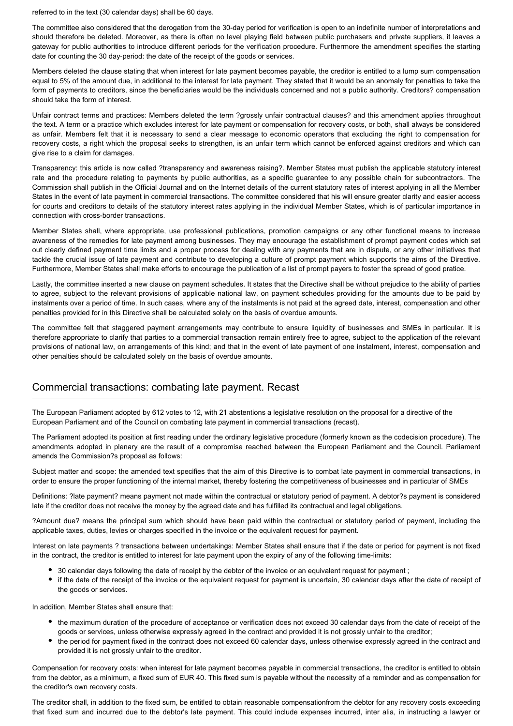referred to in the text (30 calendar days) shall be 60 days.

The committee also considered that the derogation from the 30-day period for verification is open to an indefinite number of interpretations and should therefore be deleted. Moreover, as there is often no level playing field between public purchasers and private suppliers, it leaves a gateway for public authorities to introduce different periods for the verification procedure. Furthermore the amendment specifies the starting date for counting the 30 day-period: the date of the receipt of the goods or services.

Members deleted the clause stating that when interest for late payment becomes payable, the creditor is entitled to a lump sum compensation equal to 5% of the amount due, in additional to the interest for late payment. They stated that it would be an anomaly for penalties to take the form of payments to creditors, since the beneficiaries would be the individuals concerned and not a public authority. Creditors? compensation should take the form of interest.

Unfair contract terms and practices: Members deleted the term ?grossly unfair contractual clauses? and this amendment applies throughout the text. A term or a practice which excludes interest for late payment or compensation for recovery costs, or both, shall always be considered as unfair. Members felt that it is necessary to send a clear message to economic operators that excluding the right to compensation for recovery costs, a right which the proposal seeks to strengthen, is an unfair term which cannot be enforced against creditors and which can give rise to a claim for damages.

Transparency: this article is now called ?transparency and awareness raising?. Member States must publish the applicable statutory interest rate and the procedure relating to payments by public authorities, as a specific guarantee to any possible chain for subcontractors. The Commission shall publish in the Official Journal and on the Internet details of the current statutory rates of interest applying in all the Member States in the event of late payment in commercial transactions. The committee considered that his will ensure greater clarity and easier access for courts and creditors to details of the statutory interest rates applying in the individual Member States, which is of particular importance in connection with cross-border transactions.

Member States shall, where appropriate, use professional publications, promotion campaigns or any other functional means to increase awareness of the remedies for late payment among businesses. They may encourage the establishment of prompt payment codes which set out clearly defined payment time limits and a proper process for dealing with any payments that are in dispute, or any other initiatives that tackle the crucial issue of late payment and contribute to developing a culture of prompt payment which supports the aims of the Directive. Furthermore, Member States shall make efforts to encourage the publication of a list of prompt payers to foster the spread of good pratice.

Lastly, the committee inserted a new clause on payment schedules. It states that the Directive shall be without prejudice to the ability of parties to agree, subject to the relevant provisions of applicable national law, on payment schedules providing for the amounts due to be paid by instalments over a period of time. In such cases, where any of the instalments is not paid at the agreed date, interest, compensation and other penalties provided for in this Directive shall be calculated solely on the basis of overdue amounts.

The committee felt that staggered payment arrangements may contribute to ensure liquidity of businesses and SMEs in particular. It is therefore appropriate to clarify that parties to a commercial transaction remain entirely free to agree, subject to the application of the relevant provisions of national law, on arrangements of this kind; and that in the event of late payment of one instalment, interest, compensation and other penalties should be calculated solely on the basis of overdue amounts.

## Commercial transactions: combating late payment. Recast

The European Parliament adopted by 612 votes to 12, with 21 abstentions a legislative resolution on the proposal for a directive of the European Parliament and of the Council on combating late payment in commercial transactions (recast).

The Parliament adopted its position at first reading under the ordinary legislative procedure (formerly known as the codecision procedure). The amendments adopted in plenary are the result of a compromise reached between the European Parliament and the Council. Parliament amends the Commission?s proposal as follows:

Subject matter and scope: the amended text specifies that the aim of this Directive is to combat late payment in commercial transactions, in order to ensure the proper functioning of the internal market, thereby fostering the competitiveness of businesses and in particular of SMEs

Definitions: ?late payment? means payment not made within the contractual or statutory period of payment. A debtor?s payment is considered late if the creditor does not receive the money by the agreed date and has fulfilled its contractual and legal obligations.

?Amount due? means the principal sum which should have been paid within the contractual or statutory period of payment, including the applicable taxes, duties, levies or charges specified in the invoice or the equivalent request for payment.

Interest on late payments ? transactions between undertakings: Member States shall ensure that if the date or period for payment is not fixed in the contract, the creditor is entitled to interest for late payment upon the expiry of any of the following time-limits:

- 30 calendar days following the date of receipt by the debtor of the invoice or an equivalent request for payment ;
- if the date of the receipt of the invoice or the equivalent request for payment is uncertain, 30 calendar days after the date of receipt of the goods or services.

In addition, Member States shall ensure that:

- the maximum duration of the procedure of acceptance or verification does not exceed 30 calendar days from the date of receipt of the goods or services, unless otherwise expressly agreed in the contract and provided it is not grossly unfair to the creditor;
- the period for payment fixed in the contract does not exceed 60 calendar days, unless otherwise expressly agreed in the contract and provided it is not grossly unfair to the creditor.

Compensation for recovery costs: when interest for late payment becomes payable in commercial transactions, the creditor is entitled to obtain from the debtor, as a minimum, a fixed sum of EUR 40. This fixed sum is payable without the necessity of a reminder and as compensation for the creditor's own recovery costs.

The creditor shall, in addition to the fixed sum, be entitled to obtain reasonable compensationfrom the debtor for any recovery costs exceeding that fixed sum and incurred due to the debtor's late payment. This could include expenses incurred, inter alia, in instructing a lawyer or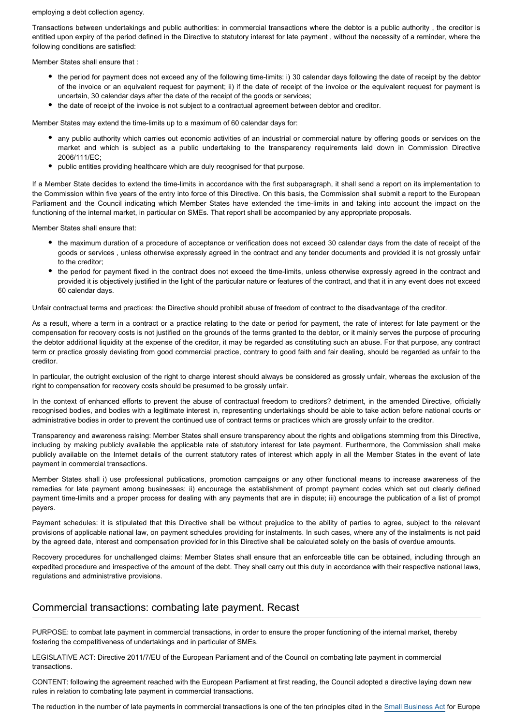employing a debt collection agency.

Transactions between undertakings and public authorities: in commercial transactions where the debtor is a public authority , the creditor is entitled upon expiry of the period defined in the Directive to statutory interest for late payment , without the necessity of a reminder, where the following conditions are satisfied:

Member States shall ensure that :

- the period for payment does not exceed any of the following time-limits: i) 30 calendar days following the date of receipt by the debtor of the invoice or an equivalent request for payment; ii) if the date of receipt of the invoice or the equivalent request for payment is uncertain, 30 calendar days after the date of the receipt of the goods or services;
- the date of receipt of the invoice is not subject to a contractual agreement between debtor and creditor.

Member States may extend the time-limits up to a maximum of 60 calendar days for:

- any public authority which carries out economic activities of an industrial or commercial nature by offering goods or services on the market and which is subject as a public undertaking to the transparency requirements laid down in Commission Directive 2006/111/EC;
- public entities providing healthcare which are duly recognised for that purpose.

If a Member State decides to extend the time-limits in accordance with the first subparagraph, it shall send a report on its implementation to the Commission within five years of the entry into force of this Directive. On this basis, the Commission shall submit a report to the European Parliament and the Council indicating which Member States have extended the time-limits in and taking into account the impact on the functioning of the internal market, in particular on SMEs. That report shall be accompanied by any appropriate proposals.

Member States shall ensure that:

- the maximum duration of a procedure of acceptance or verification does not exceed 30 calendar days from the date of receipt of the goods or services , unless otherwise expressly agreed in the contract and any tender documents and provided it is not grossly unfair to the creditor;
- the period for payment fixed in the contract does not exceed the time-limits, unless otherwise expressly agreed in the contract and provided it is objectively justified in the light of the particular nature or features of the contract, and that it in any event does not exceed 60 calendar days.

Unfair contractual terms and practices: the Directive should prohibit abuse of freedom of contract to the disadvantage of the creditor.

As a result, where a term in a contract or a practice relating to the date or period for payment, the rate of interest for late payment or the compensation for recovery costs is not justified on the grounds of the terms granted to the debtor, or it mainly serves the purpose of procuring the debtor additional liquidity at the expense of the creditor, it may be regarded as constituting such an abuse. For that purpose, any contract term or practice grossly deviating from good commercial practice, contrary to good faith and fair dealing, should be regarded as unfair to the creditor.

In particular, the outright exclusion of the right to charge interest should always be considered as grossly unfair, whereas the exclusion of the right to compensation for recovery costs should be presumed to be grossly unfair.

In the context of enhanced efforts to prevent the abuse of contractual freedom to creditors? detriment, in the amended Directive, officially recognised bodies, and bodies with a legitimate interest in, representing undertakings should be able to take action before national courts or administrative bodies in order to prevent the continued use of contract terms or practices which are grossly unfair to the creditor.

Transparency and awareness raising: Member States shall ensure transparency about the rights and obligations stemming from this Directive, including by making publicly available the applicable rate of statutory interest for late payment. Furthermore, the Commission shall make publicly available on the Internet details of the current statutory rates of interest which apply in all the Member States in the event of late payment in commercial transactions.

Member States shall i) use professional publications, promotion campaigns or any other functional means to increase awareness of the remedies for late payment among businesses; ii) encourage the establishment of prompt payment codes which set out clearly defined payment time-limits and a proper process for dealing with any payments that are in dispute; iii) encourage the publication of a list of prompt payers.

Payment schedules: it is stipulated that this Directive shall be without prejudice to the ability of parties to agree, subject to the relevant provisions of applicable national law, on payment schedules providing for instalments. In such cases, where any of the instalments is not paid by the agreed date, interest and compensation provided for in this Directive shall be calculated solely on the basis of overdue amounts.

Recovery procedures for unchallenged claims: Member States shall ensure that an enforceable title can be obtained, including through an expedited procedure and irrespective of the amount of the debt. They shall carry out this duty in accordance with their respective national laws, regulations and administrative provisions.

#### Commercial transactions: combating late payment. Recast

PURPOSE: to combat late payment in commercial transactions, in order to ensure the proper functioning of the internal market, thereby fostering the competitiveness of undertakings and in particular of SMEs.

LEGISLATIVE ACT: Directive 2011/7/EU of the European Parliament and of the Council on combating late payment in commercial transactions.

CONTENT: following the agreement reached with the European Parliament at first reading, the Council adopted a directive laying down new rules in relation to combating late payment in commercial transactions.

The reduction in the number of late payments in commercial transactions is one of the ten principles cited in the [Small Business Act](http://www.europarl.europa.eu/oeil/FindByProcnum.do?lang=en&procnum=INI/2008/2237) for Europe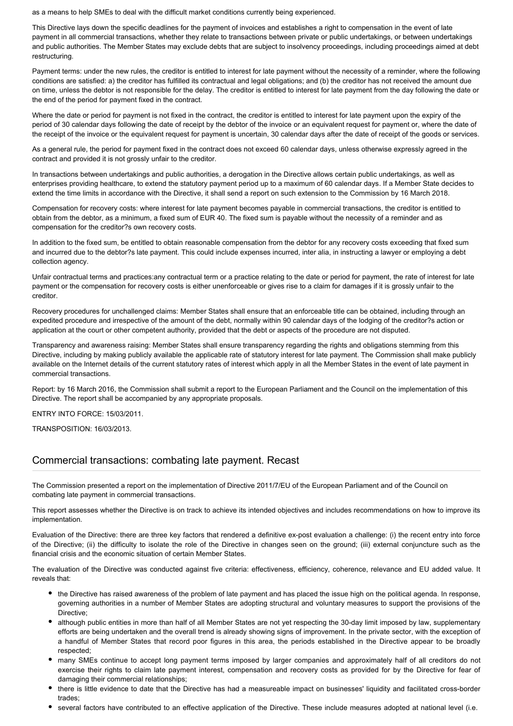as a means to help SMEs to deal with the difficult market conditions currently being experienced.

This Directive lays down the specific deadlines for the payment of invoices and establishes a right to compensation in the event of late payment in all commercial transactions, whether they relate to transactions between private or public undertakings, or between undertakings and public authorities. The Member States may exclude debts that are subject to insolvency proceedings, including proceedings aimed at debt restructuring.

Payment terms: under the new rules, the creditor is entitled to interest for late payment without the necessity of a reminder, where the following conditions are satisfied: a) the creditor has fulfilled its contractual and legal obligations; and (b) the creditor has not received the amount due on time, unless the debtor is not responsible for the delay. The creditor is entitled to interest for late payment from the day following the date or the end of the period for payment fixed in the contract.

Where the date or period for payment is not fixed in the contract, the creditor is entitled to interest for late payment upon the expiry of the period of 30 calendar days following the date of receipt by the debtor of the invoice or an equivalent request for payment or, where the date of the receipt of the invoice or the equivalent request for payment is uncertain, 30 calendar days after the date of receipt of the goods or services.

As a general rule, the period for payment fixed in the contract does not exceed 60 calendar days, unless otherwise expressly agreed in the contract and provided it is not grossly unfair to the creditor.

In transactions between undertakings and public authorities, a derogation in the Directive allows certain public undertakings, as well as enterprises providing healthcare, to extend the statutory payment period up to a maximum of 60 calendar days. If a Member State decides to extend the time limits in accordance with the Directive, it shall send a report on such extension to the Commission by 16 March 2018.

Compensation for recovery costs: where interest for late payment becomes payable in commercial transactions, the creditor is entitled to obtain from the debtor, as a minimum, a fixed sum of EUR 40. The fixed sum is payable without the necessity of a reminder and as compensation for the creditor?s own recovery costs.

In addition to the fixed sum, be entitled to obtain reasonable compensation from the debtor for any recovery costs exceeding that fixed sum and incurred due to the debtor?s late payment. This could include expenses incurred, inter alia, in instructing a lawyer or employing a debt collection agency.

Unfair contractual terms and practices:any contractual term or a practice relating to the date or period for payment, the rate of interest for late payment or the compensation for recovery costs is either unenforceable or gives rise to a claim for damages if it is grossly unfair to the creditor.

Recovery procedures for unchallenged claims: Member States shall ensure that an enforceable title can be obtained, including through an expedited procedure and irrespective of the amount of the debt, normally within 90 calendar days of the lodging of the creditor?s action or application at the court or other competent authority, provided that the debt or aspects of the procedure are not disputed.

Transparency and awareness raising: Member States shall ensure transparency regarding the rights and obligations stemming from this Directive, including by making publicly available the applicable rate of statutory interest for late payment. The Commission shall make publicly available on the Internet details of the current statutory rates of interest which apply in all the Member States in the event of late payment in commercial transactions.

Report: by 16 March 2016, the Commission shall submit a report to the European Parliament and the Council on the implementation of this Directive. The report shall be accompanied by any appropriate proposals.

ENTRY INTO FORCE: 15/03/2011.

TRANSPOSITION: 16/03/2013.

## Commercial transactions: combating late payment. Recast

The Commission presented a report on the implementation of Directive 2011/7/EU of the European Parliament and of the Council on combating late payment in commercial transactions.

This report assesses whether the Directive is on track to achieve its intended objectives and includes recommendations on how to improve its implementation.

Evaluation of the Directive: there are three key factors that rendered a definitive ex-post evaluation a challenge: (i) the recent entry into force of the Directive; (ii) the difficulty to isolate the role of the Directive in changes seen on the ground; (iii) external conjuncture such as the financial crisis and the economic situation of certain Member States.

The evaluation of the Directive was conducted against five criteria: effectiveness, efficiency, coherence, relevance and EU added value. It reveals that:

- the Directive has raised awareness of the problem of late payment and has placed the issue high on the political agenda. In response, governing authorities in a number of Member States are adopting structural and voluntary measures to support the provisions of the Directive;
- although public entities in more than half of all Member States are not yet respecting the 30-day limit imposed by law, supplementary efforts are being undertaken and the overall trend is already showing signs of improvement. In the private sector, with the exception of a handful of Member States that record poor figures in this area, the periods established in the Directive appear to be broadly respected;
- many SMEs continue to accept long payment terms imposed by larger companies and approximately half of all creditors do not exercise their rights to claim late payment interest, compensation and recovery costs as provided for by the Directive for fear of damaging their commercial relationships;
- there is little evidence to date that the Directive has had a measureable impact on businesses' liquidity and facilitated cross-border trades;
- several factors have contributed to an effective application of the Directive. These include measures adopted at national level (i.e.